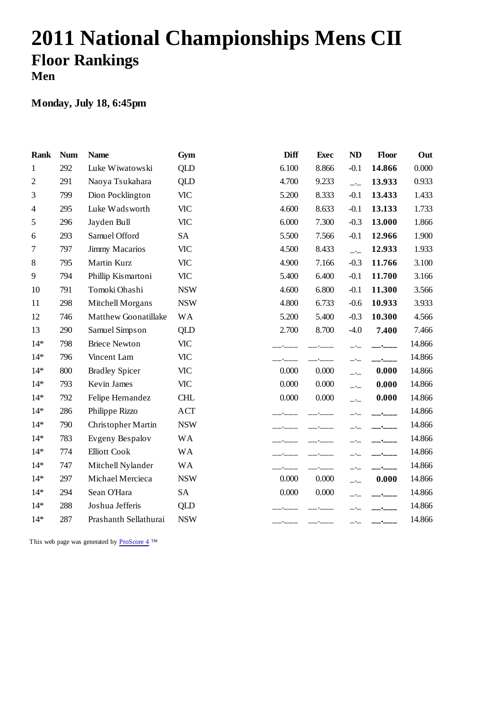# **2011 National Championships Mens CII Floor Rankings Men**

### **Monday, July 18, 6:45pm**

| <b>Rank</b>    | <b>Num</b> | <b>Name</b>           | Gym        | <b>Diff</b> | <b>Exec</b> | <b>ND</b>                | Floor                            | Out    |
|----------------|------------|-----------------------|------------|-------------|-------------|--------------------------|----------------------------------|--------|
| $\mathbf{1}$   | 292        | Luke Wiwatowski       | <b>QLD</b> | 6.100       | 8.866       | $-0.1$                   | 14.866                           | 0.000  |
| $\overline{c}$ | 291        | Naoya Tsukahara       | <b>QLD</b> | 4.700       | 9.233       | $-1$                     | 13.933                           | 0.933  |
| 3              | 799        | Dion Pocklington      | <b>VIC</b> | 5.200       | 8.333       | $-0.1$                   | 13.433                           | 1.433  |
| $\overline{4}$ | 295        | Luke Wadsworth        | <b>VIC</b> | 4.600       | 8.633       | $-0.1$                   | 13.133                           | 1.733  |
| 5              | 296        | Jayden Bull           | <b>VIC</b> | 6.000       | 7.300       | $-0.3$                   | 13.000                           | 1.866  |
| 6              | 293        | Samuel Offord         | <b>SA</b>  | 5.500       | 7.566       | $-0.1$                   | 12.966                           | 1.900  |
| 7              | 797        | Jimmy Macarios        | <b>VIC</b> | 4.500       | 8.433       | $\overline{\phantom{a}}$ | 12.933                           | 1.933  |
| 8              | 795        | Martin Kurz           | <b>VIC</b> | 4.900       | 7.166       | $-0.3$                   | 11.766                           | 3.100  |
| 9              | 794        | Phillip Kismartoni    | <b>VIC</b> | 5.400       | 6.400       | $-0.1$                   | 11.700                           | 3.166  |
| 10             | 791        | Tomoki Ohashi         | <b>NSW</b> | 4.600       | 6.800       | $-0.1$                   | 11.300                           | 3.566  |
| 11             | 298        | Mitchell Morgans      | <b>NSW</b> | 4.800       | 6.733       | $-0.6$                   | 10.933                           | 3.933  |
| 12             | 746        | Matthew Goonatillake  | <b>WA</b>  | 5.200       | 5.400       | $-0.3$                   | 10.300                           | 4.566  |
| 13             | 290        | Samuel Simpson        | <b>QLD</b> | 2.700       | 8.700       | $-4.0$                   | 7.400                            | 7.466  |
| $14*$          | 798        | <b>Briece Newton</b>  | <b>VIC</b> |             |             |                          |                                  | 14.866 |
| $14*$          | 796        | Vincent Lam           | <b>VIC</b> |             |             | $-1$                     |                                  | 14.866 |
| $14*$          | 800        | <b>Bradley Spicer</b> | <b>VIC</b> | 0.000       | 0.000       | $\overline{\phantom{a}}$ | 0.000                            | 14.866 |
| $14*$          | 793        | Kevin James           | <b>VIC</b> | 0.000       | 0.000       | $-$                      | 0.000                            | 14.866 |
| $14*$          | 792        | Felipe Hernandez      | <b>CHL</b> | 0.000       | 0.000       | $\overline{\phantom{a}}$ | 0.000                            | 14.866 |
| $14*$          | 286        | Philippe Rizzo        | <b>ACT</b> |             |             |                          |                                  | 14.866 |
| $14*$          | 790        | Christopher Martin    | <b>NSW</b> |             |             |                          |                                  | 14.866 |
| $14*$          | 783        | Evgeny Bespalov       | <b>WA</b>  |             |             |                          | $\overline{\phantom{a}}$         | 14.866 |
| $14*$          | 774        | <b>Elliott Cook</b>   | <b>WA</b>  |             |             |                          |                                  | 14.866 |
| $14*$          | 747        | Mitchell Nylander     | <b>WA</b>  |             |             |                          | $\bullet$ . The set of $\bullet$ | 14.866 |
| $14*$          | 297        | Michael Mercieca      | <b>NSW</b> | 0.000       | 0.000       | $\overline{\phantom{a}}$ | 0.000                            | 14.866 |
| $14*$          | 294        | Sean O'Hara           | SA         | 0.000       | 0.000       |                          | $-$ - $-$ -                      | 14.866 |
| $14*$          | 288        | Joshua Jefferis       | <b>QLD</b> |             |             |                          |                                  | 14.866 |
| $14*$          | 287        | Prashanth Sellathurai | <b>NSW</b> |             |             |                          |                                  | 14.866 |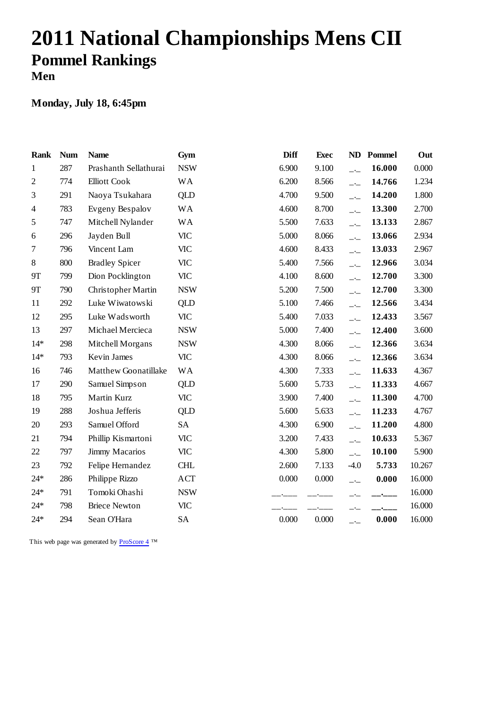# **2011 National Championships Mens CII Pommel Rankings Men**

### **Monday, July 18, 6:45pm**

| <b>Rank</b>    | <b>Num</b> | <b>Name</b>           | Gym        | <b>Diff</b> | <b>Exec</b> | ND                       | Pommel | Out    |
|----------------|------------|-----------------------|------------|-------------|-------------|--------------------------|--------|--------|
| $\mathbf{1}$   | 287        | Prashanth Sellathurai | <b>NSW</b> | 6.900       | 9.100       | $-$                      | 16.000 | 0.000  |
| $\mathfrak{2}$ | 774        | <b>Elliott Cook</b>   | <b>WA</b>  | 6.200       | 8.566       | $-$                      | 14.766 | 1.234  |
| 3              | 291        | Naoya Tsukahara       | <b>QLD</b> | 4.700       | 9.500       | $\overline{\phantom{a}}$ | 14.200 | 1.800  |
| $\overline{4}$ | 783        | Evgeny Bespalov       | <b>WA</b>  | 4.600       | 8.700       | $-$                      | 13.300 | 2.700  |
| 5              | 747        | Mitchell Nylander     | <b>WA</b>  | 5.500       | 7.633       | $-$                      | 13.133 | 2.867  |
| 6              | 296        | Jayden Bull           | <b>VIC</b> | 5.000       | 8.066       | $-1$                     | 13.066 | 2.934  |
| $\tau$         | 796        | Vincent Lam           | <b>VIC</b> | 4.600       | 8.433       | $-$ -                    | 13.033 | 2.967  |
| 8              | 800        | <b>Bradley Spicer</b> | <b>VIC</b> | 5.400       | 7.566       | $ -$                     | 12.966 | 3.034  |
| <b>9T</b>      | 799        | Dion Pocklington      | <b>VIC</b> | 4.100       | 8.600       | $\overline{a}$           | 12.700 | 3.300  |
| <b>9T</b>      | 790        | Christopher Martin    | <b>NSW</b> | 5.200       | 7.500       | $-1$                     | 12.700 | 3.300  |
| 11             | 292        | Luke Wiwatowski       | <b>QLD</b> | 5.100       | 7.466       | $-$ -                    | 12.566 | 3.434  |
| 12             | 295        | Luke Wadsworth        | <b>VIC</b> | 5.400       | 7.033       | $-1$                     | 12.433 | 3.567  |
| 13             | 297        | Michael Mercieca      | <b>NSW</b> | 5.000       | 7.400       | $ -$                     | 12.400 | 3.600  |
| $14*$          | 298        | Mitchell Morgans      | <b>NSW</b> | 4.300       | 8.066       | $-$ -                    | 12.366 | 3.634  |
| $14*$          | 793        | Kevin James           | <b>VIC</b> | 4.300       | 8.066       | $ -$                     | 12.366 | 3.634  |
| 16             | 746        | Matthew Goonatillake  | <b>WA</b>  | 4.300       | 7.333       | $\overline{\phantom{a}}$ | 11.633 | 4.367  |
| 17             | 290        | Samuel Simpson        | QLD        | 5.600       | 5.733       | $-$ - $-$                | 11.333 | 4.667  |
| 18             | 795        | Martin Kurz           | <b>VIC</b> | 3.900       | 7.400       | $-$                      | 11.300 | 4.700  |
| 19             | 288        | Joshua Jefferis       | QLD        | 5.600       | 5.633       | $-$                      | 11.233 | 4.767  |
| 20             | 293        | Samuel Offord         | <b>SA</b>  | 4.300       | 6.900       | $-$                      | 11.200 | 4.800  |
| 21             | 794        | Phillip Kismartoni    | <b>VIC</b> | 3.200       | 7.433       | $\overline{a}$           | 10.633 | 5.367  |
| 22             | 797        | Jimmy Macarios        | <b>VIC</b> | 4.300       | 5.800       | $-$                      | 10.100 | 5.900  |
| 23             | 792        | Felipe Hernandez      | <b>CHL</b> | 2.600       | 7.133       | $-4.0$                   | 5.733  | 10.267 |
| $24*$          | 286        | Philippe Rizzo        | <b>ACT</b> | 0.000       | 0.000       | $-$                      | 0.000  | 16.000 |
| $24*$          | 791        | Tomoki Ohashi         | <b>NSW</b> |             |             |                          |        | 16.000 |
| $24*$          | 798        | <b>Briece Newton</b>  | <b>VIC</b> |             |             |                          |        | 16.000 |
| $24*$          | 294        | Sean O'Hara           | <b>SA</b>  | 0.000       | 0.000       | —•—                      | 0.000  | 16.000 |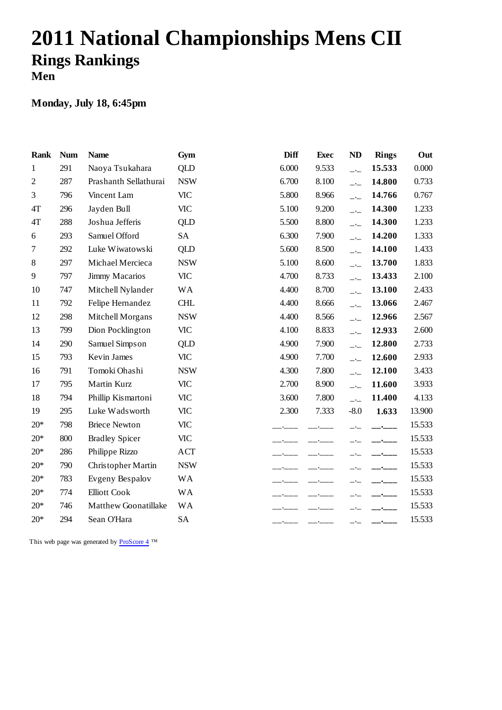# **2011 National Championships Mens CII Rings Rankings Men**

### **Monday, July 18, 6:45pm**

| <b>Rank</b>  | <b>Num</b> | <b>Name</b>           | Gym        | <b>Diff</b> | <b>Exec</b> | <b>ND</b>                | <b>Rings</b>                                        | Out    |
|--------------|------------|-----------------------|------------|-------------|-------------|--------------------------|-----------------------------------------------------|--------|
| $\mathbf{1}$ | 291        | Naoya Tsukahara       | QLD        | 6.000       | 9.533       | $\overline{\phantom{a}}$ | 15.533                                              | 0.000  |
| 2            | 287        | Prashanth Sellathurai | <b>NSW</b> | 6.700       | 8.100       | $-$                      | 14.800                                              | 0.733  |
| 3            | 796        | Vincent Lam           | <b>VIC</b> | 5.800       | 8.966       | $\overline{\phantom{a}}$ | 14.766                                              | 0.767  |
| 4T           | 296        | Jayden Bull           | <b>VIC</b> | 5.100       | 9.200       | $\overline{\phantom{a}}$ | 14.300                                              | 1.233  |
| 4T           | 288        | Joshua Jefferis       | QLD        | 5.500       | 8.800       | $-$                      | 14.300                                              | 1.233  |
| 6            | 293        | Samuel Offord         | <b>SA</b>  | 6.300       | 7.900       | $\overline{a}$           | 14.200                                              | 1.333  |
| 7            | 292        | Luke Wiwatowski       | QLD        | 5.600       | 8.500       | $-$                      | 14.100                                              | 1.433  |
| 8            | 297        | Michael Mercieca      | <b>NSW</b> | 5.100       | 8.600       | $-$                      | 13.700                                              | 1.833  |
| 9            | 797        | Jimmy Macarios        | <b>VIC</b> | 4.700       | 8.733       | $\overline{a}$           | 13.433                                              | 2.100  |
| 10           | 747        | Mitchell Nylander     | <b>WA</b>  | 4.400       | 8.700       | $-$                      | 13.100                                              | 2.433  |
| 11           | 792        | Felipe Hernandez      | <b>CHL</b> | 4.400       | 8.666       | $\overline{\phantom{a}}$ | 13.066                                              | 2.467  |
| 12           | 298        | Mitchell Morgans      | <b>NSW</b> | 4.400       | 8.566       | $\overline{a}$           | 12.966                                              | 2.567  |
| 13           | 799        | Dion Pocklington      | <b>VIC</b> | 4.100       | 8.833       | $-$                      | 12.933                                              | 2.600  |
| 14           | 290        | Samuel Simpson        | QLD        | 4.900       | 7.900       | $-\frac{1}{2}$           | 12.800                                              | 2.733  |
| 15           | 793        | Kevin James           | <b>VIC</b> | 4.900       | 7.700       | $\overline{a}$           | 12.600                                              | 2.933  |
| 16           | 791        | Tomoki Ohashi         | <b>NSW</b> | 4.300       | 7.800       | $-$                      | 12.100                                              | 3.433  |
| 17           | 795        | Martin Kurz           | <b>VIC</b> | 2.700       | 8.900       | $\overline{\phantom{a}}$ | 11.600                                              | 3.933  |
| 18           | 794        | Phillip Kismartoni    | <b>VIC</b> | 3.600       | 7.800       | $-$                      | 11.400                                              | 4.133  |
| 19           | 295        | Luke Wadsworth        | <b>VIC</b> | 2.300       | 7.333       | $-8.0$                   | 1.633                                               | 13.900 |
| $20*$        | 798        | <b>Briece Newton</b>  | <b>VIC</b> |             |             |                          |                                                     | 15.533 |
| $20*$        | 800        | <b>Bradley Spicer</b> | <b>VIC</b> |             |             |                          | $\overline{\phantom{a}}$                            | 15.533 |
| $20*$        | 286        | Philippe Rizzo        | <b>ACT</b> |             |             |                          | _ <b>.</b> ___                                      | 15.533 |
| $20*$        | 790        | Christopher Martin    | <b>NSW</b> |             |             |                          |                                                     | 15.533 |
| $20*$        | 783        | Evgeny Bespalov       | <b>WA</b>  |             |             |                          | $\overline{\phantom{a}}$ . $\overline{\phantom{a}}$ | 15.533 |
| $20*$        | 774        | <b>Elliott Cook</b>   | <b>WA</b>  |             |             |                          | _____                                               | 15.533 |
| $20*$        | 746        | Matthew Goonatillake  | <b>WA</b>  |             |             |                          |                                                     | 15.533 |
| $20*$        | 294        | Sean O'Hara           | <b>SA</b>  |             |             |                          | $  -$                                               | 15.533 |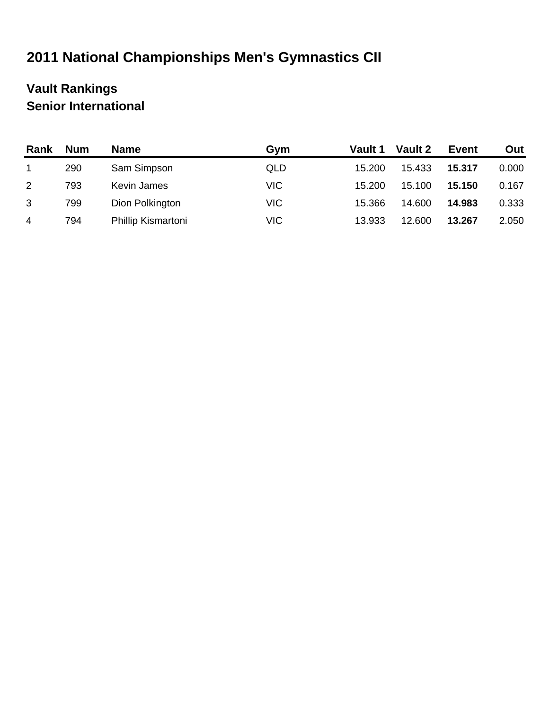# **2011 National Championships Men's Gymnastics CII**

### **Vault Rankings Senior International**

| Rank         | <b>Num</b> | <b>Name</b>        | Gym        | Vault 1 | Vault 2 | <b>Event</b> | Out   |
|--------------|------------|--------------------|------------|---------|---------|--------------|-------|
|              | 290        | Sam Simpson        | QLD        | 15.200  | 15.433  | 15.317       | 0.000 |
| $\mathbf{2}$ | 793        | Kevin James        | <b>VIC</b> | 15.200  | 15.100  | 15.150       | 0.167 |
| 3            | 799        | Dion Polkington    | <b>VIC</b> | 15.366  | 14.600  | 14.983       | 0.333 |
| 4            | 794        | Phillip Kismartoni | <b>VIC</b> | 13.933  | 12.600  | 13.267       | 2.050 |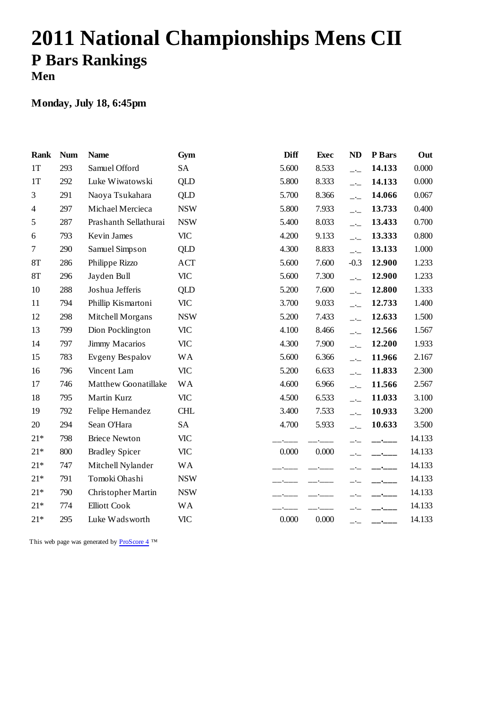# **2011 National Championships Mens CII P Bars Rankings Men**

### **Monday, July 18, 6:45pm**

| <b>Rank</b>    | <b>Num</b> | <b>Name</b>           | Gym        | <b>Diff</b> | <b>Exec</b> | <b>ND</b>                | P Bars                   | Out    |
|----------------|------------|-----------------------|------------|-------------|-------------|--------------------------|--------------------------|--------|
| 1T             | 293        | Samuel Offord         | <b>SA</b>  | 5.600       | 8.533       | $-$                      | 14.133                   | 0.000  |
| 1T             | 292        | Luke Wiwatowski       | <b>QLD</b> | 5.800       | 8.333       | $\overline{\phantom{a}}$ | 14.133                   | 0.000  |
| 3              | 291        | Naoya Tsukahara       | QLD        | 5.700       | 8.366       | $-1$                     | 14.066                   | 0.067  |
| $\overline{4}$ | 297        | Michael Mercieca      | <b>NSW</b> | 5.800       | 7.933       | $\overline{\phantom{a}}$ | 13.733                   | 0.400  |
| 5              | 287        | Prashanth Sellathurai | <b>NSW</b> | 5.400       | 8.033       | $-$                      | 13.433                   | 0.700  |
| 6              | 793        | Kevin James           | <b>VIC</b> | 4.200       | 9.133       | $\overline{\phantom{a}}$ | 13.333                   | 0.800  |
| 7              | 290        | Samuel Simpson        | QLD        | 4.300       | 8.833       | $\overline{\phantom{a}}$ | 13.133                   | 1.000  |
| <b>8T</b>      | 286        | Philippe Rizzo        | <b>ACT</b> | 5.600       | 7.600       | $-0.3$                   | 12.900                   | 1.233  |
| 8T             | 296        | Jayden Bull           | <b>VIC</b> | 5.600       | 7.300       | $\overline{\phantom{a}}$ | 12.900                   | 1.233  |
| 10             | 288        | Joshua Jefferis       | QLD        | 5.200       | 7.600       | $-$                      | 12.800                   | 1.333  |
| 11             | 794        | Phillip Kismartoni    | <b>VIC</b> | 3.700       | 9.033       | $-1$                     | 12.733                   | 1.400  |
| 12             | 298        | Mitchell Morgans      | <b>NSW</b> | 5.200       | 7.433       | $\overline{\phantom{a}}$ | 12.633                   | 1.500  |
| 13             | 799        | Dion Pocklington      | <b>VIC</b> | 4.100       | 8.466       | $-$                      | 12.566                   | 1.567  |
| 14             | 797        | <b>Jimmy Macarios</b> | <b>VIC</b> | 4.300       | 7.900       | $-1$                     | 12.200                   | 1.933  |
| 15             | 783        | Evgeny Bespalov       | <b>WA</b>  | 5.600       | 6.366       | $\overline{\phantom{a}}$ | 11.966                   | 2.167  |
| 16             | 796        | Vincent Lam           | <b>VIC</b> | 5.200       | 6.633       | $-$                      | 11.833                   | 2.300  |
| 17             | 746        | Matthew Goonatillake  | <b>WA</b>  | 4.600       | 6.966       | $\overline{\phantom{a}}$ | 11.566                   | 2.567  |
| 18             | 795        | Martin Kurz           | <b>VIC</b> | 4.500       | 6.533       | $-1$                     | 11.033                   | 3.100  |
| 19             | 792        | Felipe Hernandez      | <b>CHL</b> | 3.400       | 7.533       | $-1$                     | 10.933                   | 3.200  |
| 20             | 294        | Sean O'Hara           | <b>SA</b>  | 4.700       | 5.933       | $-$                      | 10.633                   | 3.500  |
| $21*$          | 798        | <b>Briece Newton</b>  | <b>VIC</b> |             |             |                          | $   -$                   | 14.133 |
| $21*$          | 800        | <b>Bradley Spicer</b> | <b>VIC</b> | 0.000       | 0.000       |                          | __ <b>____</b> _         | 14.133 |
| $21*$          | 747        | Mitchell Nylander     | <b>WA</b>  |             |             |                          |                          | 14.133 |
| $21*$          | 791        | Tomoki Ohashi         | <b>NSW</b> |             |             |                          | $\overline{\phantom{a}}$ | 14.133 |
| $21*$          | 790        | Christopher Martin    | <b>NSW</b> |             |             |                          | _•___                    | 14.133 |
| $21*$          | 774        | <b>Elliott Cook</b>   | <b>WA</b>  |             |             |                          |                          | 14.133 |
| $21*$          | 295        | Luke Wadsworth        | <b>VIC</b> | 0.000       | 0.000       | $ -$                     |                          | 14.133 |